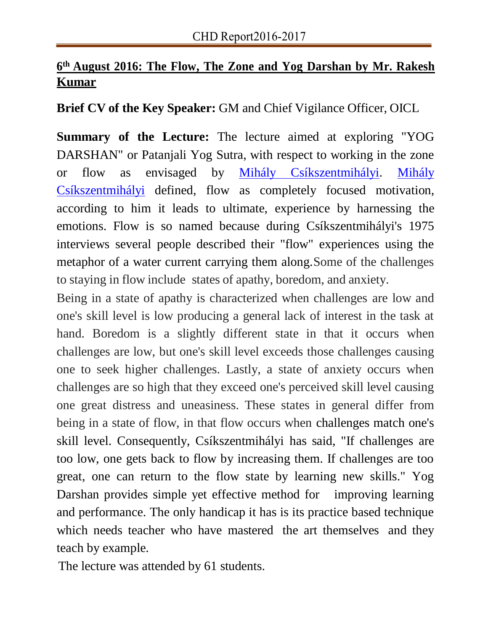## **6 th August 2016: The Flow, The Zone and Yog Darshan by Mr. Rakesh Kumar**

**Brief CV of the Key Speaker:** GM and Chief Vigilance Officer, OICL

**Summary of the Lecture:** The lecture aimed at exploring "YOG DARSHAN" or Patanjali Yog Sutra, with respect to working in the zone or flow as envisaged by Mihály Csíkszentmihályi. Mihály Csíkszentmihályi defined, flow as completely focused motivation, according to him it leads to ultimate, experience by harnessing the emotions. Flow is so named because during Csíkszentmihályi's 1975 interviews several people described their "flow" experiences using the metaphor of a water current carrying them along.Some of the challenges to staying in flow include states of apathy, boredom, and anxiety.

Being in a state of apathy is characterized when challenges are low and one's skill level is low producing a general lack of interest in the task at hand. Boredom is a slightly different state in that it occurs when challenges are low, but one's skill level exceeds those challenges causing one to seek higher challenges. Lastly, a state of anxiety occurs when challenges are so high that they exceed one's perceived skill level causing one great distress and uneasiness. These states in general differ from being in a state of flow, in that flow occurs when challenges match one's skill level. Consequently, Csíkszentmihályi has said, "If challenges are too low, one gets back to flow by increasing them. If challenges are too great, one can return to the flow state by learning new skills." Yog Darshan provides simple yet effective method for improving learning and performance. The only handicap it has is its practice based technique which needs teacher who have mastered the art themselves and they teach by example.

The lecture was attended by 61 students.